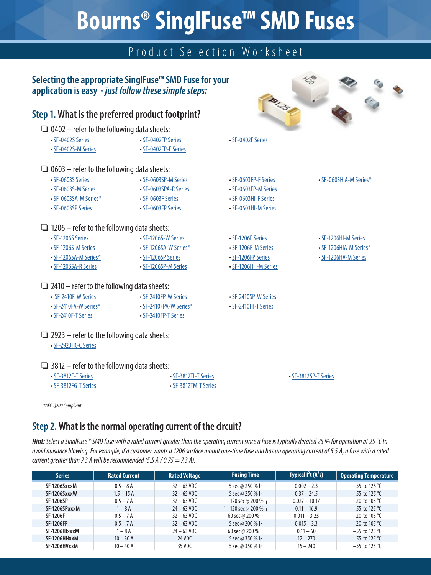# **Bourns® SinglFuse™ SMD Fuses**

# Product Selection Worksheet

### **Selecting the appropriate SinglFuse™ SMD Fuse for your application is easy** *- just follow these simple steps:*

### **Step 1. What is the preferred product footprint?**

- $\Box$  0402 refer to the following data sheets:
- [SF-0402S Series](https://www.bourns.com/docs/product-datasheets/sf0402s.pdf) • [SF-0402S-M Series](https://www.bourns.com/docs/product-datasheets/sf-0402sxxxm.pdf) • [SF-0402FP Series](https://www.bourns.com/docs/product-datasheets/sf-0402fp.pdf) • [SF-0402FP-F Series](https://www.bourns.com/docs/product-datasheets/sf-0402fpxxxf.pdf) • [SF-0402F Series](https://www.bourns.com/docs/product-datasheets/sf0402f.pdf)

• [SF-0603HI-F Series](https://www.bourns.com/docs/product-datasheets/sf-0603hixxxf.pdf) • [SF-0603HI-M Series](https://www.bourns.com/docs/product-datasheets/sf-0603hixxxm.pdf)

• [SF-1206F Series](https://www.bourns.com/docs/product-datasheets/sf1206f.pdf) • [SF-1206F-M Series](https://www.bourns.com/docs/product-datasheets/sf-1206f-m.pdf) • [SF-1206FP Series](https://www.bourns.com/docs/product-datasheets/sf-1206fp.pdf) • [SF-1206HH-M Series](https://www.bourns.com/docs/product-datasheets/sf-1206hhxxm.pdf)

• [SF-2410SP-W Series](https://www.bourns.com/docs/product-datasheets/sf-2410spxxxw.pdf) • [SF-2410HI-T Series](https://www.bourns.com/docs/product-datasheets/SF-2410HI-T.pdf)

#### $\Box$  0603 – refer to the following data sheets:

- [SF-0603S Series](https://www.bourns.com/docs/product-datasheets/sf0603s.pdf)
- [SF-0603SP-M Series](https://www.bourns.com/docs/product-datasheets/sf-0603spxxxm.pdf) • SF-0603SPA-R Series
- [SF-0603S-M Series](https://www.bourns.com/docs/product-datasheets/sf-0603sxxxm.pdf) • [SF-0603SA-M Series](https://www.bourns.com/docs/product-datasheets/sf-0603sa-m.pdf)\*
- [SF-0603F Series](https://www.bourns.com/docs/product-datasheets/sf0603f.pdf)
- [SF-0603SP Series](https://www.bourns.com/docs/product-datasheets/sf-0603sp.pdf)
- [SF-0603FP Series](https://www.bourns.com/docs/product-datasheets/sf-0603fp.pdf)

#### $\Box$  1206 – refer to the following data sheets:

- [SF-1206S Series](https://www.bourns.com/docs/product-datasheets/sf1206s.pdf) • [SF-1206S-M Series](https://www.bourns.com/docs/product-datasheets/sf-1206sxxxm.pdf) • [SF-1206SA-M Series](https://www.bourns.com/docs/product-datasheets/sf-1206sa-m.pdf)\* • [SF-1206S-W Series](https://www.bourns.com/docs/product-datasheets/sf-1206sxxxw.pdf) • [SF-1206SA-W Series\\*](https://www.bourns.com/docs/product-datasheets/sf-1206sa-w.pdf) • [SF-1206SP Series](https://www.bourns.com/docs/product-datasheets/sf-1206sp.pdf) • [SF-1206SP-M Series](https://www.bourns.com/docs/product-datasheets/sf-1206spxxxm.pdf)
- SF-1206SA-[R Series](https://www.bourns.com/docs/product-datasheets/sf-1206sa-m.pdf)

#### $\Box$  2410 – refer to the following data sheets:

- [SF-2410F-W Series](https://www.bourns.com/docs/product-datasheets/sf-2410fxxxw.pdf) • [SF-2410FP-W Series](https://www.bourns.com/docs/product-datasheets/sf-2410fpxxxw.pdf)
- [SF-2410FA-W Series\\*](https://www.bourns.com/docs/product-datasheets/sf-2410fa-w.pdf) • [SF-2410FPA-W Series\\*](https://www.bourns.com/docs/product-datasheets/sf-2410fpa-w.pdf)
- [SF-2410F-T Series](https://www.bourns.com/docs/product-datasheets/SF-2410F-T.pdf)
- [SF-2410FP-T Series](https://www.bourns.com/docs/product-datasheets/SF-2410FP-T.pdf)

# $\Box$  2923 – refer to the following data sheets:

• [SF-2923HC-C Series](https://www.bourns.com/docs/product-datasheets/sf-2923hc.pdf)

#### $\Box$  3812 – refer to the following data sheets:

| • SF-3812F-T Series        | • SF-3812TL-T Series | • SF-3812SP-T Series |
|----------------------------|----------------------|----------------------|
| $\cdot$ SF-3812FG-T Series | • SF-3812TM-T Series |                      |

*\*AEC-Q200 Compliant*

# **Step 2.What is the normal operating current of the circuit?**

*Hint: Select a SinglFuse™ SMD fuse with a rated current greater than the operating current since a fuse is typically derated 25 % for operation at 25 °C to avoid nuisance blowing. For example, if a customer wants a 1206 surface mount one-time fuse and has an operating current of 5.5 A, a fuse with a rated current greater than 7.3 A will be recommended (5.5 A / 0.75 = 7.3 A).*

| <b>Series</b>    | <b>Rated Current</b> | <b>Rated Voltage</b>  | <b>Fusing Time</b>     | Typical $I^2t(A^2s)$ | <b>Operating Temperature</b> |
|------------------|----------------------|-----------------------|------------------------|----------------------|------------------------------|
| SF-1206SxxxM     | $0.5 - 8$ A          | $32 - 63 \text{ VDC}$ | 5 sec @ 250 % lr       | $0.002 - 2.3$        | $-55$ to 125 °C              |
| SF-1206SxxxW     | $1.5 - 15A$          | $32 - 65$ VDC         | 5 sec @ 250 % Ir       | $0.37 - 24.5$        | $-55$ to 125 °C              |
| <b>SF-1206SP</b> | $0.5 - 7A$           | $32 - 63 \text{ VDC}$ | 1 - 120 sec @ 200 % lr | $0.027 - 10.17$      | $-20$ to 105 °C              |
| SF-1206SPxxxM    | $1 - 8A$             | $24 - 63 \text{ VDC}$ | 1 - 120 sec @ 200 % lr | $0.11 - 16.9$        | $-55$ to 125 °C              |
| <b>SF-1206F</b>  | $0.5 - 7A$           | $32 - 63 \text{ VDC}$ | 60 sec @ 200 % $r$     | $0.011 - 3.25$       | $-20$ to 105 °C              |
| <b>SF-1206FP</b> | $0.5 - 7A$           | $32 - 63 \text{ VDC}$ | 5 sec @ 200 % lr       | $0.015 - 3.3$        | $-20$ to 105 °C              |
| SF-1206HIxxxM    | $1 - 8A$             | $24 - 63 \text{ VDC}$ | 60 sec @ 200 % lr      | $0.11 - 60$          | $-55$ to 125 °C              |
| SF-1206HHxxM     | $10 - 30$ A          | 24 VDC                | 5 sec @ 350 % lr       | $12 - 270$           | $-55$ to 125 °C              |
| SF-1206HVxxM     | $10 - 40$ A          | 35 VDC                | 5 sec @ 350 % lr       | $15 - 240$           | $-55$ to 125 °C              |

| <b>B1.25</b>                                 |                        |  |
|----------------------------------------------|------------------------|--|
| · SF-0402F Series                            |                        |  |
| • SF-0603FP-F Series<br>• SF-0603FP-M Series | · SF-0603HIA-M Series* |  |

Ce.

含

• [SF-1206HI-M Series](https://www.bourns.com/docs/product-datasheets/sf-1206hixxxm.pdf)

- • [SF-1206HIA-M Series\\*](https://www.bourns.com/docs/product-datasheets/sf-1206hia-m.pdf)
- • [SF-1206HV-M Series](https://www.bourns.com/docs/product-datasheets/sf-1206hvxxm.pdf)